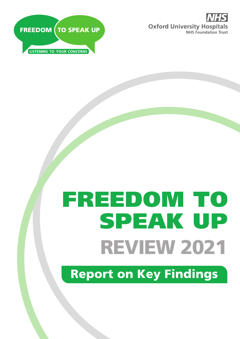



# REVIEW 2021 FREEDOM TO SPEAK UP

Report on Key Findings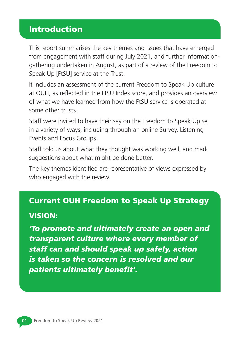# Introduction

This report summarises the key themes and issues that have emerged from engagement with staff during July 2021, and further informationgathering undertaken in August, as part of a review of the Freedom to Speak Up [FtSU] service at the Trust.

It includes an assessment of the current Freedom to Speak Up culture at OUH, as reflected in the FtSU Index score, and provides an overview of what we have learned from how the FtSU service is operated at some other trusts.

Staff were invited to have their say on the Freedom to Speak Up ser in a variety of ways, including through an online Survey, Listening Events and Focus Groups.

Staff told us about what they thought was working well, and made suggestions about what might be done better.

The key themes identified are representative of views expressed by who engaged with the review.

#### Current OUH Freedom to Speak Up Strategy

#### VISION:

*'To promote and ultimately create an open and transparent culture where every member of staff can and should speak up safely, action is taken so the concern is resolved and our patients ultimately benefit'.*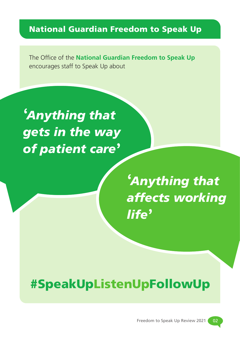# National Guardian Freedom to Speak Up

The Office of the **National Guardian Freedom to Speak Up** encourages staff to Speak Up about

**'***Anything that gets in the way of patient care***'**

> **'***Anything that affects working life***'**

# #SpeakUpListenUpFollowUp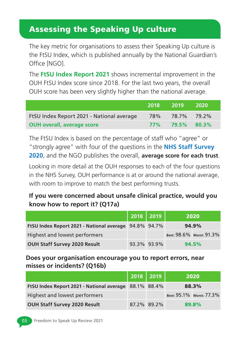# Assessing the Speaking Up culture

The key metric for organisations to assess their Speaking Up culture is the FtSU Index, which is published annually by the National Guardian's Office [NGO].

The **FtSU Index Report 2021** shows incremental improvement in the OUH FtSU Index score since 2018. For the last two years, the overall OUH score has been very slightly higher than the national average.

|                                           | 2018   | -2019 -     | -2020 |
|-------------------------------------------|--------|-------------|-------|
| FtSU Index Report 2021 - National average | 78%    | 78.7% 79.2% |       |
| <b>OUH overall, average score</b>         | $77\%$ | 79.5%       | 80.3% |

The FtSU Index is based on the percentage of staff who "agree" or "strongly agree" with four of the questions in the **NHS Staff Survey 2020**, and the NGO publishes the overall, **average score for each trust**.

Looking in more detail at the OUH responses to each of the four questions in the NHS Survey, OUH performance is at or around the national average, with room to improve to match the best performing trusts.

### **If you were concerned about unsafe clinical practice, would you know how to report it? (Q17a)**

|                                                       | $2018$ 2019 |             | 2020                     |
|-------------------------------------------------------|-------------|-------------|--------------------------|
| FtSU Index Report 2021 - National average 94.8% 94.7% |             |             | 94.9%                    |
| Highest and lowest performers                         |             |             | Best: 98.6% Worst: 91.3% |
| <b>OUH Staff Survey 2020 Result</b>                   |             | 93.3% 93.9% | 94.5%                    |

#### **Does your organisation encourage you to report errors, near misses or incidents? (Q16b)**

|                                                       | 2018 2019 |             | 2020                     |
|-------------------------------------------------------|-----------|-------------|--------------------------|
| FtSU Index Report 2021 - National average 88.1% 88.4% |           |             | 88.3%                    |
| Highest and lowest performers                         |           |             | Best: 95.1% Worst: 77.3% |
| <b>OUH Staff Survey 2020 Result</b>                   |           | 87.2% 89.2% | 89.8%                    |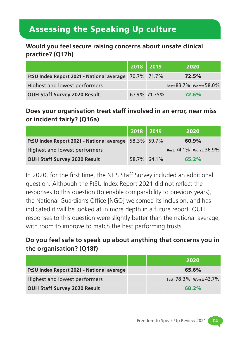# Assessing the Speaking Up culture

**Would you feel secure raising concerns about unsafe clinical practice? (Q17b)**

|                                                       | 2018   2019  | 2020                     |
|-------------------------------------------------------|--------------|--------------------------|
| FtSU Index Report 2021 - National average 70.7% 71.7% |              | 72.5%                    |
| Highest and lowest performers                         |              | Best: 83.7% Worst: 58.0% |
| OUH Staff Survey 2020 Result                          | 67.9% 71.75% | 72.6%                    |

**Does your organisation treat staff involved in an error, near miss or incident fairly? (Q16a)**

|                                                              | $2018$ 2019 |             | 2020                     |
|--------------------------------------------------------------|-------------|-------------|--------------------------|
| <b>FtSU Index Report 2021 - National average 58.3% 59.7%</b> |             |             | 60.9%                    |
| Highest and lowest performers                                |             |             | Best: 74.1% Worst: 36.9% |
| <b>OUH Staff Survey 2020 Result</b>                          |             | 58.7% 64.1% | 65.2%                    |

In 2020, for the first time, the NHS Staff Survey included an additional question. Although the FtSU Index Report 2021 did not reflect the responses to this question (to enable comparability to previous years), the National Guardian's Office [NGO] welcomed its inclusion, and has indicated it will be looked at in more depth in a future report. OUH responses to this question were slightly better than the national average, with room to improve to match the best performing trusts.

### **Do you feel safe to speak up about anything that concerns you in the organisation? (Q18f)**

|                                           |  | 2020                     |
|-------------------------------------------|--|--------------------------|
| FtSU Index Report 2021 - National average |  | 65.6%                    |
| Highest and lowest performers             |  | Best: 78.3% Worst: 43.7% |
| <b>OUH Staff Survey 2020 Result</b>       |  | 68.2%                    |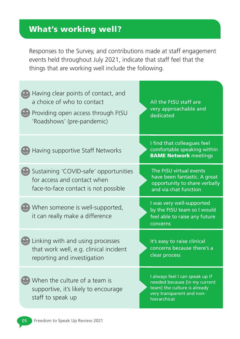# What's working well?

Responses to the Survey, and contributions made at staff engagement events held throughout July 2021, indicate that staff feel that the things that are working well include the following.

| Having clear points of contact, and<br>a choice of who to contact<br>Providing open access through FtSU<br>'Roadshows' (pre-pandemic) | All the FtSU staff are<br>very approachable and<br>dedicated                                                                                  |
|---------------------------------------------------------------------------------------------------------------------------------------|-----------------------------------------------------------------------------------------------------------------------------------------------|
| Having supportive Staff Networks                                                                                                      | I find that colleagues feel<br>comfortable speaking within<br><b>BAME Network meetings</b>                                                    |
| Sustaining 'COVID-safe' opportunities<br>for access and contact when<br>face-to-face contact is not possible                          | The FtSU virtual events<br>have been fantastic. A great<br>opportunity to share verbally<br>and via chat function                             |
| When someone is well-supported,<br>it can really make a difference                                                                    | I was very well-supported<br>by the FtSU team so I would<br>feel able to raise any future<br>concerns                                         |
| Linking with and using processes<br>that work well, e.g. clinical incident<br>reporting and investigation                             | It's easy to raise clinical<br>concerns because there's a<br>clear process                                                                    |
| When the culture of a team is<br>supportive, it's likely to encourage<br>staff to speak up                                            | I always feel I can speak up if<br>needed because [in my current<br>team] the culture is already<br>very transparent and non-<br>hierarchical |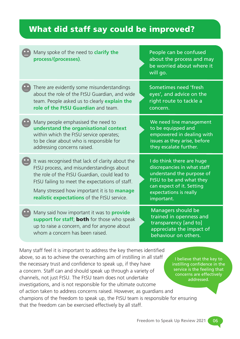# What did staff say could be improved?

| Many spoke of the need to <b>clarify the</b><br>process/(processes).                                                                                                                                                                                                                                  | People can be confused<br>about the process and may<br>be worried about where it<br>will go.                                                                                           |
|-------------------------------------------------------------------------------------------------------------------------------------------------------------------------------------------------------------------------------------------------------------------------------------------------------|----------------------------------------------------------------------------------------------------------------------------------------------------------------------------------------|
| There are evidently some misunderstandings<br>about the role of the FtSU Guardian, and wide<br>team. People asked us to clearly explain the<br>role of the FtSU Guardian and team.                                                                                                                    | Sometimes need 'fresh<br>eyes', and advice on the<br>right route to tackle a<br>concern.                                                                                               |
| Many people emphasised the need to<br>understand the organisational context<br>within which the FtSU service operates;<br>to be clear about who is responsible for<br>addressing concerns raised.                                                                                                     | We need line management<br>to be equipped and<br>empowered in dealing with<br>issues as they arise, before<br>they escalate further.                                                   |
| It was recognised that lack of clarity about the<br>FtSU process, and misunderstandings about<br>the role of the FtSU Guardian, could lead to<br>FtSU failing to meet the expectations of staff.<br>Many stressed how important it is to <b>manage</b><br>realistic expectations of the FtSU service. | I do think there are huge<br>discrepancies in what staff<br>understand the purpose of<br>FtSU to be and what they<br>can expect of it. Setting<br>expectations is really<br>important. |
| Many said how important it was to <b>provide</b><br>support for staff; both for those who speak<br>up to raise a concern, and for anyone about<br>whom a concern has been raised.                                                                                                                     | Managers should be<br>trained in openness and<br>transparency [and to]<br>appreciate the impact of<br>behaviour on others.                                                             |

Many staff feel it is important to address the key themes identified above, so as to achieve the overarching aim of instilling in all staff the necessary trust and confidence to speak up, if they have a concern. Staff can and should speak up through a variety of channels, not just FtSU. The FtSU team does not undertake investigations, and is not responsible for the ultimate outcome of action taken to address concerns raised. However, as guardians and champions of the freedom to speak up, the FtSU team is responsible for ensuring that the freedom can be exercised effectively by all staff.

I believe that the key to instilling confidence in the service is the feeling that concerns are effectively addressed.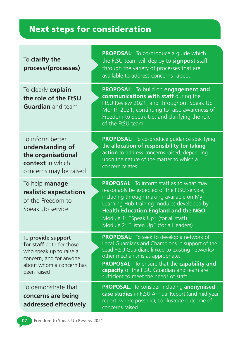# Next steps for consideration

| To clarify the<br>process/(processes)                                                                                                           | <b>PROPOSAL:</b> To co-produce a guide which<br>the FtSU team will deploy to signpost staff<br>through the variety of processes that are<br>available to address concerns raised.                                                                                                                                           |
|-------------------------------------------------------------------------------------------------------------------------------------------------|-----------------------------------------------------------------------------------------------------------------------------------------------------------------------------------------------------------------------------------------------------------------------------------------------------------------------------|
| To clearly explain<br>the role of the FtSU<br><b>Guardian</b> and team                                                                          | PROPOSAL: To build on engagement and<br>communications with staff during the<br>FtSU Review 2021, and throughout Speak Up<br>Month 2021; continuing to raise awareness of<br>Freedom to Speak Up, and clarifying the role<br>of the FtSU team.                                                                              |
| To inform better<br>understanding of<br>the organisational<br>context in which<br>concerns may be raised                                        | <b>PROPOSAL:</b> To co-produce guidance specifying<br>the allocation of responsibility for taking<br>action to address concerns raised, depending<br>upon the nature of the matter to which a<br>concern relates.                                                                                                           |
| To help manage<br>realistic expectations<br>of the Freedom to<br>Speak Up service                                                               | <b>PROPOSAL:</b> To inform staff as to what may<br>reasonably be expected of the FtSU service,<br>including through making available on My<br>Learning Hub training modules developed by<br><b>Health Education England and the NGO:</b><br>Module 1: "Speak Up" (for all staff)<br>Module 2: "Listen Up" (for all leaders) |
| To provide support<br>for staff both for those<br>who speak up to raise a<br>concern, and for anyone<br>about whom a concern has<br>been raised | PROPOSAL: To seek to develop a network of<br>Local Guardians and Champions in support of the<br>Lead FtSU Guardian, linked to existing networks/<br>other mechanisms as appropriate.<br>PROPOSAL: To ensure that the capability and<br>capacity of the FtSU Guardian and team are<br>sufficient to meet the needs of staff. |
| To demonstrate that<br>concerns are being<br>addressed effectively                                                                              | PROPOSAL: To consider including anonymised<br>case studies in FtSU Annual Report (and mid-year<br>report, where possible), to illustrate outcome of<br>concerns raised.                                                                                                                                                     |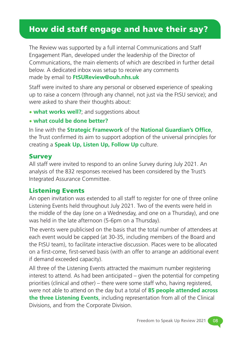# How did staff engage and have their say?

The Review was supported by a full internal Communications and Staff Engagement Plan, developed under the leadership of the Director of Communications, the main elements of which are described in further detail below. A dedicated inbox was setup to receive any comments made by email to **FtSUReview@ouh.nhs.uk**

Staff were invited to share any personal or observed experience of speaking up to raise a concern (through any channel, not just via the FtSU service); and were asked to share their thoughts about:

• **what works well?**; and suggestions about

#### • **what could be done better?**

In line with the **Strategic Framework** of the **National Guardian's Office**, the Trust confirmed its aim to support adoption of the universal principles for creating a **Speak Up, Listen Up, Follow Up** culture.

#### **Survey**

All staff were invited to respond to an online Survey during July 2021. An analysis of the 832 responses received has been considered by the Trust's Integrated Assurance Committee.

#### Listening Events

An open invitation was extended to all staff to register for one of three online Listening Events held throughout July 2021. Two of the events were held in the middle of the day (one on a Wednesday, and one on a Thursday), and one was held in the late afternoon (5-6pm on a Thursday).

The events were publicised on the basis that the total number of attendees at each event would be capped (at 30-35, including members of the Board and the FtSU team), to facilitate interactive discussion. Places were to be allocated on a first-come, first-served basis (with an offer to arrange an additional event if demand exceeded capacity).

All three of the Listening Events attracted the maximum number registering interest to attend. As had been anticipated – given the potential for competing priorities (clinical and other) – there were some staff who, having registered, were not able to attend on the day but a total of **85 people attended across the three Listening Events**, including representation from all of the Clinical Divisions, and from the Corporate Division.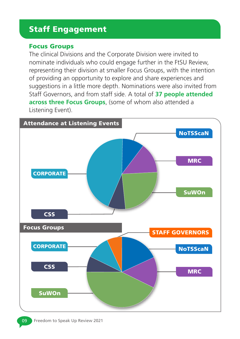# Staff Engagement

#### Focus Groups

The clinical Divisions and the Corporate Division were invited to nominate individuals who could engage further in the FtSU Review, representing their division at smaller Focus Groups, with the intention of providing an opportunity to explore and share experiences and suggestions in a little more depth. Nominations were also invited from Staff Governors, and from staff side. A total of **37 people attended across three Focus Groups**, (some of whom also attended a Listening Event).

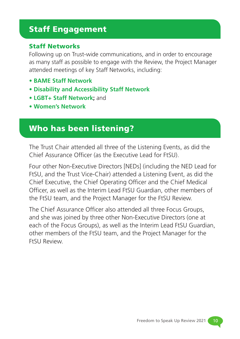# Staff Engagement

#### Staff Networks

Following up on Trust-wide communications, and in order to encourage as many staff as possible to engage with the Review, the Project Manager attended meetings of key Staff Networks, including:

- **BAME Staff Network**
- **Disability and Accessibility Staff Network**
- **LGBT+ Staff Network;** and
- **Women's Network**

# Who has been listening?

The Trust Chair attended all three of the Listening Events, as did the Chief Assurance Officer (as the Executive Lead for FtSU).

Four other Non-Executive Directors [NEDs] (including the NED Lead for FtSU, and the Trust Vice-Chair) attended a Listening Event, as did the Chief Executive, the Chief Operating Officer and the Chief Medical Officer, as well as the Interim Lead FtSU Guardian, other members of the FtSU team, and the Project Manager for the FtSU Review.

The Chief Assurance Officer also attended all three Focus Groups, and she was joined by three other Non-Executive Directors (one at each of the Focus Groups), as well as the Interim Lead FtSU Guardian, other members of the FtSU team, and the Project Manager for the FtSU Review.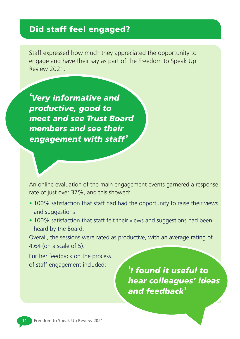# Did staff feel engaged?

Staff expressed how much they appreciated the opportunity to engage and have their say as part of the Freedom to Speak Up Review 2021.

**'***Very informative and productive, good to meet and see Trust Board members and see their engagement with staff* **'**

An online evaluation of the main engagement events garnered a response rate of just over 37%, and this showed:

- 100% satisfaction that staff had had the opportunity to raise their views and suggestions
- 100% satisfaction that staff felt their views and suggestions had been heard by the Board.

Overall, the sessions were rated as productive, with an average rating of 4.64 (on a scale of 5).

Further feedback on the process of staff engagement included: **'***I found it useful to* 

*hear colleagues' ideas and feedback***'**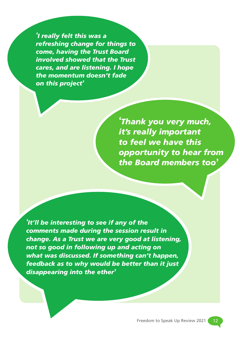**'***I really felt this was a refreshing change for things to come, having the Trust Board involved showed that the Trust cares, and are listening. I hope the momentum doesn't fade on this project***'**

> **'***Thank you very much, it's really important to feel we have this opportunity to hear from the Board members too***'**

**'***It'll be interesting to see if any of the comments made during the session result in change. As a Trust we are very good at listening, not so good in following up and acting on what was discussed. If something can't happen, feedback as to why would be better than it just disappearing into the ether***'**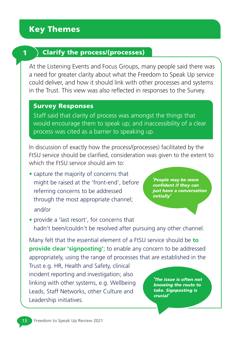#### $1$  ) Clarify the process/(processes)

At the Listening Events and Focus Groups, many people said there was a need for greater clarity about what the Freedom to Speak Up service could deliver, and how it should link with other processes and systems in the Trust. This view was also reflected in responses to the Survey.

#### Survey Responses

Staff said that clarity of process was amongst the things that would encourage them to speak up; and inaccessibility of a clear process was cited as a barrier to speaking up.

In discussion of exactly how the process/(processes) facilitated by the FtSU service should be clarified, consideration was given to the extent to which the FtSU service should aim to:

**•** capture the majority of concerns that might be raised at the 'front-end', before referring concerns to be addressed through the most appropriate channel; and/or

**'***People may be more confident if they can just have a conversation initially***'**

**•** provide a 'last resort', for concerns that hadn't been/couldn't be resolved after pursuing any other channel.

Many felt that the essential element of a FtSU service should be **to provide clear 'signposting'**; to enable any concern to be addressed appropriately, using the range of processes that are established in the

Trust e.g. HR, Health and Safety, clinical incident reporting and investigation; also linking with other systems, e.g. Wellbeing Leads, Staff Networks, other Culture and Leadership initiatives.

**'***The issue is often not knowing the route to take. Signposting is crucial***'**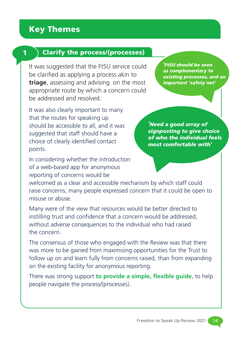#### $1$  ) Clarify the process/(processes)

It was suggested that the FtSU service could be clarified as applying a process akin to **triage**, assessing and advising on the most appropriate route by which a concern could be addressed and resolved.

It was also clearly important to many that the routes for speaking up should be accessible to all, and it was suggested that staff should have a choice of clearly identified contact points.

In considering whether the introduction of a web-based app for anonymous reporting of concerns would be

**'***FtSU should be seen as complementary to existing processes, and an important 'safety net'*

**'***Need a good array of signposting to give choice of who the individual feels most comfortable with***'**

welcomed as a clear and accessible mechanism by which staff could raise concerns, many people expressed concern that it could be open to misuse or abuse.

Many were of the view that resources would be better directed to instilling trust and confidence that a concern would be addressed, without adverse consequences to the individual who had raised the concern.

The consensus of those who engaged with the Review was that there was more to be gained from maximising opportunities for the Trust to follow up on and learn fully from concerns raised, than from expanding on the existing facility for anonymous reporting.

There was strong support **to provide a simple, flexible guide**, to help people navigate the process/(processes).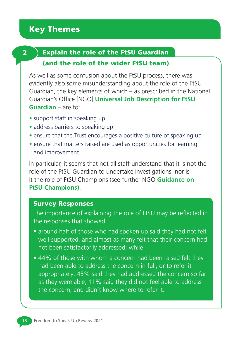#### $2$  ) Explain the role of the FtSU Guardian

#### (and the role of the wider FtSU team)

As well as some confusion about the FtSU process, there was evidently also some misunderstanding about the role of the FtSU Guardian, the key elements of which – as prescribed in the National Guardian's Office [NGO] **Universal Job Description for FtSU Guardian** – are to:

- support staff in speaking up
- address barriers to speaking up
- ensure that the Trust encourages a positive culture of speaking up
- ensure that matters raised are used as opportunities for learning and improvement.

In particular, it seems that not all staff understand that it is not the role of the FtSU Guardian to undertake investigations, nor is it the role of FtSU Champions (see further NGO **Guidance on FtSU Champions)**.

#### Survey Responses

The importance of explaining the role of FtSU may be reflected in the responses that showed:

- around half of those who had spoken up said they had not felt well-supported, and almost as many felt that their concern had not been satisfactorily addressed; while
- 44% of those with whom a concern had been raised felt they had been able to address the concern in full, or to refer it appropriately; 45% said they had addressed the concern so far as they were able; 11% said they did not feel able to address the concern, and didn't know where to refer it.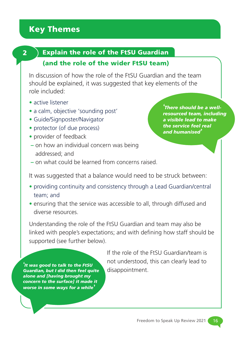#### $2$  ) Explain the role of the FtSU Guardian

#### (and the role of the wider FtSU team)

In discussion of how the role of the FtSU Guardian and the team should be explained, it was suggested that key elements of the role included:

- active listener
- **a calm, objective 'sounding post'**
- Guide/Signposter/Navigator
- protector (of due process)
- provider of feedback
- **–** on how an individual concern was being addressed; and

**'***There should be a wellresourced team, including a visible lead to make the service feel real and humanised***'**

**–** on what could be learned from concerns raised.

It was suggested that a balance would need to be struck between:

- providing continuity and consistency through a Lead Guardian/central team; and
- ensuring that the service was accessible to all, through diffused and diverse resources.

Understanding the role of the FtSU Guardian and team may also be linked with people's expectations; and with defining how staff should be supported (see further below).

**'***It was good to talk to the FtSU Guardian, but I did then feel quite alone and [having brought my concern to the surface] it made it worse in some ways for a while***'**

If the role of the FtSU Guardian/team is not understood, this can clearly lead to disappointment.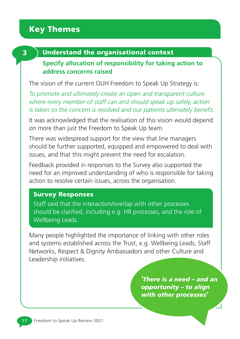#### 3 ) Understand the organisational context

#### **Specify allocation of responsibility for taking action to address concerns raised**

The vision of the current OUH Freedom to Speak Up Strategy is:

*To promote and ultimately create an open and transparent culture where every member of staff can and should speak up safely, action is taken so the concern is resolved and our patients ultimately benefit*.

It was acknowledged that the realisation of this vision would depend on more than just the Freedom to Speak Up team.

There was widespread support for the view that line managers should be further supported, equipped and empowered to deal with issues, and that this might prevent the need for escalation.

Feedback provided in responses to the Survey also supported the need for an improved understanding of who is responsible for taking action to resolve certain issues, across the organisation.

#### Survey Responses

Staff said that the interaction/overlap with other processes should be clarified, including e.g. HR processes, and the role of Wellbeing Leads.

Many people highlighted the importance of linking with other roles and systems established across the Trust, e.g. Wellbeing Leads, Staff Networks, Respect & Dignity Ambassadors and other Culture and Leadership initiatives.

> **'***There is a need – and an opportunity – to align with other processes***'**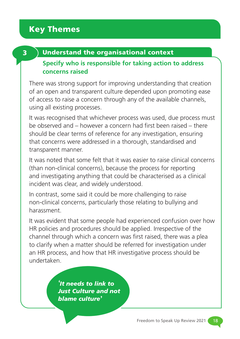### 3 Understand the organisational context

#### **Specify who is responsible for taking action to address concerns raised**

There was strong support for improving understanding that creation of an open and transparent culture depended upon promoting ease of access to raise a concern through any of the available channels, using all existing processes.

It was recognised that whichever process was used, due process must be observed and – however a concern had first been raised – there should be clear terms of reference for any investigation, ensuring that concerns were addressed in a thorough, standardised and transparent manner.

It was noted that some felt that it was easier to raise clinical concerns (than non-clinical concerns), because the process for reporting and investigating anything that could be characterised as a clinical incident was clear, and widely understood.

In contrast, some said it could be more challenging to raise non-clinical concerns, particularly those relating to bullying and harassment.

It was evident that some people had experienced confusion over how HR policies and procedures should be applied. Irrespective of the channel through which a concern was first raised, there was a plea to clarify when a matter should be referred for investigation under an HR process, and how that HR investigative process should be undertaken.

> **'***It needs to link to Just Culture and not blame culture***'**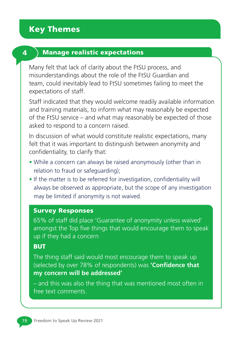#### 4 Manage realistic expectations

Many felt that lack of clarity about the FtSU process, and misunderstandings about the role of the FtSU Guardian and team, could inevitably lead to FtSU sometimes failing to meet the expectations of staff.

Staff indicated that they would welcome readily available information and training materials, to inform what may reasonably be expected of the FtSU service – and what may reasonably be expected of those asked to respond to a concern raised.

In discussion of what would constitute realistic expectations, many felt that it was important to distinguish between anonymity and confidentiality, to clarify that:

- While a concern can always be raised anonymously (other than in relation to fraud or safeguarding);
- If the matter is to be referred for investigation, confidentiality will always be observed as appropriate, but the scope of any investigation may be limited if anonymity is not waived.

#### Survey Responses

65% of staff did place 'Guarantee of anonymity unless waived' amongst the Top five things that would encourage them to speak up if they had a concern

#### **BUT**

The thing staff said would most encourage them to speak up (selected by over 78% of respondents) was **'Confidence that my concern will be addressed'**

– and this was also the thing that was mentioned most often in free text comments.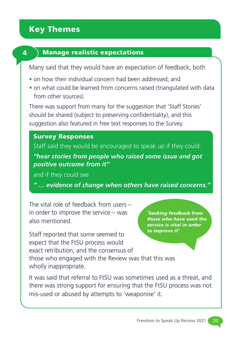

#### 4 Manage realistic expectations

Many said that they would have an expectation of feedback, both

- on how their individual concern had been addressed; and
- on what could be learned from concerns raised (triangulated with data from other sources).

There was support from many for the suggestion that 'Staff Stories' should be shared (subject to preserving confidentiality), and this suggestion also featured in free text responses to the Survey.

#### Survey Responses

Staff said they would be encouraged to speak up if they could: *"hear stories from people who raised some issue and got positive outcome from it"*

and if they could see

*" … evidence of change when others have raised concerns."*

The vital role of feedback from users – in order to improve the service – was also mentioned.

Staff reported that some seemed to expect that the FtSU process would exact retribution, and the consensus of those who engaged with the Review was that this was wholly inappropriate.

**'***Seeking feedback from those who have used the service is vital in order to improve it***'**

It was said that referral to FtSU was sometimes used as a threat, and there was strong support for ensuring that the FtSU process was not mis-used or abused by attempts to 'weaponise' it.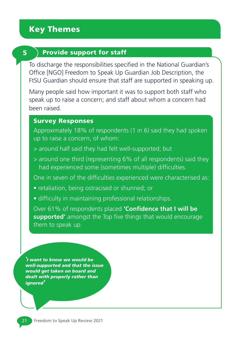#### 5 Provide support for staff

To discharge the responsibilities specified in the National Guardian's Office [NGO] Freedom to Speak Up Guardian Job Description, the FtSU Guardian should ensure that staff are supported in speaking up.

Many people said how important it was to support both staff who speak up to raise a concern; and staff about whom a concern had been raised.

#### Survey Responses

Approximately 18% of respondents (1 in 6) said they had spoken up to raise a concern, of whom:

- > around half said they had felt well-supported; but
- > around one third (representing 6% of all respondents) said they had experienced some (sometimes multiple) difficulties.

One in seven of the difficulties experienced were characterised as:

- retaliation, being ostracised or shunned; or
- difficulty in maintaining professional relationships.

Over 61% of respondents placed **'Confidence that I will be supported'** amongst the Top five things that would encourage them to speak up.

**'***I want to know we would be well-supported and that the issue would get taken on board and dealt with properly rather than ignored***'**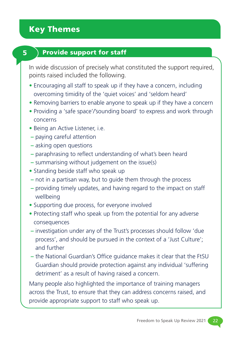### $\bf 5$  Provide support for staff

In wide discussion of precisely what constituted the support required, points raised included the following.

- Encouraging all staff to speak up if they have a concern, including overcoming timidity of the 'quiet voices' and 'seldom heard'
- Removing barriers to enable anyone to speak up if they have a concern
- Providing a 'safe space'/'sounding board' to express and work through concerns
- Being an Active Listener, i.e.
- paying careful attention
- asking open questions
- paraphrasing to reflect understanding of what's been heard
- summarising without judgement on the issue(s)
- Standing beside staff who speak up
- not in a partisan way, but to guide them through the process
- providing timely updates, and having regard to the impact on staff wellbeing
- Supporting due process, for everyone involved
- Protecting staff who speak up from the potential for any adverse consequences
- investigation under any of the Trust's processes should follow 'due process', and should be pursued in the context of a 'Just Culture'; and further
- the National Guardian's Office guidance makes it clear that the FtSU Guardian should provide protection against any individual 'suffering detriment' as a result of having raised a concern.

Many people also highlighted the importance of training managers across the Trust, to ensure that they can address concerns raised, and provide appropriate support to staff who speak up.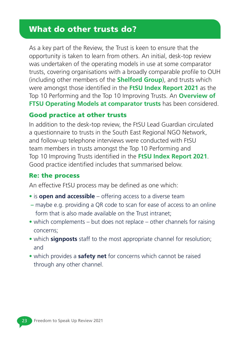As a key part of the Review, the Trust is keen to ensure that the opportunity is taken to learn from others. An initial, desk-top review was undertaken of the operating models in use at some comparator trusts, covering organisations with a broadly comparable profile to OUH (including other members of the **Shelford Group**), and trusts which were amongst those identified in the **FtSU Index Report 2021** as the Top 10 Performing and the Top 10 Improving Trusts. An **Overview of FTSU Operating Models at comparator trusts** has been considered.

#### Good practice at other trusts

In addition to the desk-top review, the FtSU Lead Guardian circulated a questionnaire to trusts in the South East Regional NGO Network, and follow-up telephone interviews were conducted with FtSU team members in trusts amongst the Top 10 Performing and Top 10 Improving Trusts identified in the **FtSU Index Report 2021**. Good practice identified includes that summarised below.

#### Re: the process

An effective FtSU process may be defined as one which:

- is **open and accessible** offering access to a diverse team
- maybe e.g. providing a QR code to scan for ease of access to an online form that is also made available on the Trust intranet;
- which complements but does not replace other channels for raising concerns;
- which **signposts** staff to the most appropriate channel for resolution; and
- which provides a **safety net** for concerns which cannot be raised through any other channel.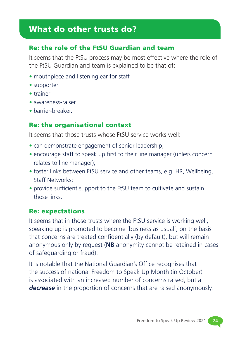#### Re: the role of the FtSU Guardian and team

It seems that the FtSU process may be most effective where the role of the FtSU Guardian and team is explained to be that of:

- mouthpiece and listening ear for staff
- supporter
- trainer
- awareness-raiser
- barrier-breaker.

#### Re: the organisational context

It seems that those trusts whose FtSU service works well:

- can demonstrate engagement of senior leadership;
- encourage staff to speak up first to their line manager (unless concern relates to line manager);
- foster links between FtSU service and other teams, e.g. HR, Wellbeing, Staff Networks;
- provide sufficient support to the FtSU team to cultivate and sustain those links.

#### Re: expectations

It seems that in those trusts where the FtSU service is working well, speaking up is promoted to become 'business as usual', on the basis that concerns are treated confidentially (by default), but will remain anonymous only by request (**NB** anonymity cannot be retained in cases of safeguarding or fraud).

It is notable that the National Guardian's Office recognises that the success of national Freedom to Speak Up Month (in October) is associated with an increased number of concerns raised, but a *decrease* in the proportion of concerns that are raised anonymously.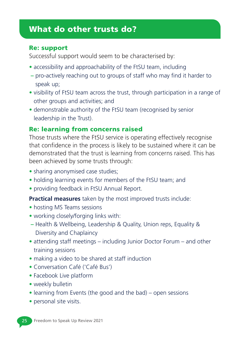#### Re: support

Successful support would seem to be characterised by:

- accessibility and approachability of the FtSU team, including
- pro-actively reaching out to groups of staff who may find it harder to speak up;
- visibility of FtSU team across the trust, through participation in a range of other groups and activities; and
- demonstrable authority of the FtSU team (recognised by senior leadership in the Trust).

#### Re: learning from concerns raised

Those trusts where the FtSU service is operating effectively recognise that confidence in the process is likely to be sustained where it can be demonstrated that the trust is learning from concerns raised. This has been achieved by some trusts through:

- sharing anonymised case studies;
- holding learning events for members of the FtSU team; and
- providing feedback in FtSU Annual Report.

**Practical measures** taken by the most improved trusts include:

- hosting MS Teams sessions
- working closely/forging links with:
- Health & Wellbeing, Leadership & Quality, Union reps, Equality & Diversity and Chaplaincy
- attending staff meetings including Junior Doctor Forum and other training sessions
- making a video to be shared at staff induction
- Conversation Café ('Café Bus')
- Facebook Live platform
- weekly bulletin
- learning from Events (the good and the bad) open sessions
- personal site visits.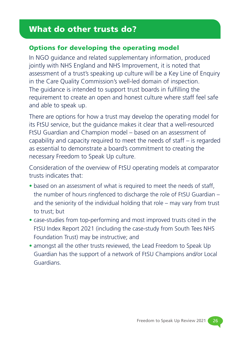#### Options for developing the operating model

In NGO guidance and related supplementary information, produced jointly with NHS England and NHS Improvement, it is noted that assessment of a trust's speaking up culture will be a Key Line of Enquiry in the Care Quality Commission's well-led domain of inspection. The guidance is intended to support trust boards in fulfilling the requirement to create an open and honest culture where staff feel safe and able to speak up.

There are options for how a trust may develop the operating model for its FtSU service, but the guidance makes it clear that a well-resourced FtSU Guardian and Champion model – based on an assessment of capability and capacity required to meet the needs of staff – is regarded as essential to demonstrate a board's commitment to creating the necessary Freedom to Speak Up culture.

Consideration of the overview of FtSU operating models at comparator trusts indicates that:

- based on an assessment of what is required to meet the needs of staff, the number of hours ringfenced to discharge the role of FtSU Guardian – and the seniority of the individual holding that role – may vary from trust to trust; but
- case-studies from top-performing and most improved trusts cited in the FtSU Index Report 2021 (including the case-study from South Tees NHS Foundation Trust) may be instructive; and
- amongst all the other trusts reviewed, the Lead Freedom to Speak Up Guardian has the support of a network of FtSU Champions and/or Local Guardians.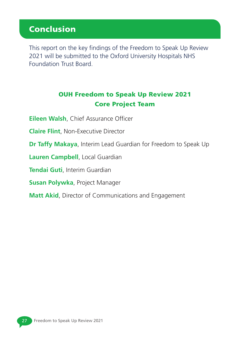# Conclusion

This report on the key findings of the Freedom to Speak Up Review 2021 will be submitted to the Oxford University Hospitals NHS Foundation Trust Board.

### OUH Freedom to Speak Up Review 2021 Core Project Team

**Eileen Walsh**, Chief Assurance Officer

**Claire Flint**, Non-Executive Director

**Dr Taffy Makaya**, Interim Lead Guardian for Freedom to Speak Up

**Lauren Campbell**, Local Guardian

**Tendai Guti**, Interim Guardian

**Susan Polywka**, Project Manager

**Matt Akid**, Director of Communications and Engagement